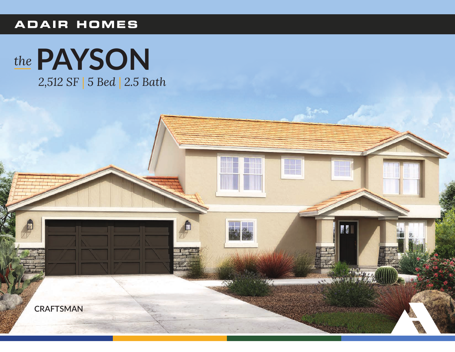## **ADAIR HOMES**



2,512 SF | 5 Bed | 2.5 Bath

山

**Altimax**